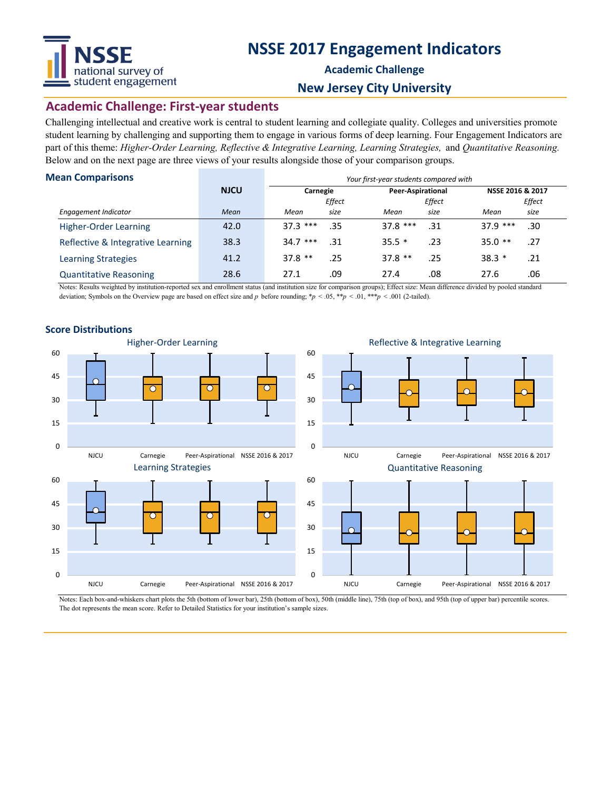

**Academic Challenge**

#### **New Jersey City University**

#### **Academic Challenge: First-year students**

Challenging intellectual and creative work is central to student learning and collegiate quality. Colleges and universities promote student learning by challenging and supporting them to engage in various forms of deep learning. Four Engagement Indicators are part of this theme: *Higher-Order Learning, Reflective & Integrative Learning, Learning Strategies,* and *Quantitative Reasoning.*  Below and on the next page are three views of your results alongside those of your comparison groups.

| <b>Mean Comparisons</b>           |             | Your first-year students compared with |                          |                                |  |  |  |  |  |
|-----------------------------------|-------------|----------------------------------------|--------------------------|--------------------------------|--|--|--|--|--|
|                                   | <b>NJCU</b> | Carnegie                               | <b>Peer-Aspirational</b> | NSSE 2016 & 2017               |  |  |  |  |  |
|                                   |             | Effect                                 | Effect                   | Effect                         |  |  |  |  |  |
| Engagement Indicator              | Mean        | size<br>Mean                           | size<br>Mean             | size<br>Mean                   |  |  |  |  |  |
| Higher-Order Learning             | 42.0        | .35<br>$37.3***$                       | $37.8***$<br>.31         | .30 <sub>1</sub><br>$37.9$ *** |  |  |  |  |  |
| Reflective & Integrative Learning | 38.3        | $34.7$ ***<br>.31                      | .23<br>$35.5*$           | .27<br>$35.0$ **               |  |  |  |  |  |
| <b>Learning Strategies</b>        | 41.2        | $37.8$ **<br>.25                       | $37.8$ **<br>.25         | $38.3*$<br>.21                 |  |  |  |  |  |
| <b>Quantitative Reasoning</b>     | 28.6        | 27.1<br>.09                            | 27.4<br>.08              | .06<br>27.6                    |  |  |  |  |  |

Notes: Results weighted by institution-reported sex and enrollment status (and institution size for comparison groups); Effect size: Mean difference divided by pooled standard deviation; Symbols on the Overview page are based on effect size and *p* before rounding; \**p* < .05, \*\**p* < .01, \*\*\**p* < .001 (2-tailed).



**Score Distributions**

Notes: Each box-and-whiskers chart plots the 5th (bottom of lower bar), 25th (bottom of box), 50th (middle line), 75th (top of box), and 95th (top of upper bar) percentile scores. The dot represents the mean score. Refer to Detailed Statistics for your institution's sample sizes.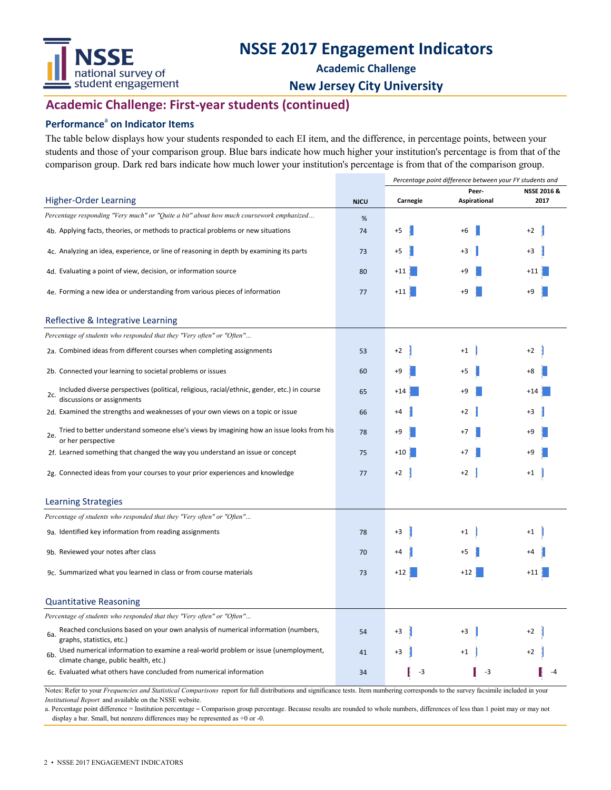

**Academic Challenge**

**New Jersey City University**

### **Academic Challenge: First-year students (continued)**

#### **Performance<sup>ª</sup> on Indicator Items**

The table below displays how your students responded to each EI item, and the difference, in percentage points, between your students and those of your comparison group. Blue bars indicate how much higher your institution's percentage is from that of the comparison group. Dark red bars indicate how much lower your institution's percentage is from that of the comparison group.

|                                                                                                                                   |             |          | Percentage point difference between your FY students and |                     |
|-----------------------------------------------------------------------------------------------------------------------------------|-------------|----------|----------------------------------------------------------|---------------------|
| Higher-Order Learning                                                                                                             | <b>NJCU</b> | Carnegie | Peer-<br>Aspirational                                    | NSSE 2016 &<br>2017 |
| Percentage responding "Very much" or "Quite a bit" about how much coursework emphasized                                           | %           |          |                                                          |                     |
| 4b. Applying facts, theories, or methods to practical problems or new situations                                                  | 74          | $+5$     | +6                                                       | $+2$                |
| 4c. Analyzing an idea, experience, or line of reasoning in depth by examining its parts                                           | 73          | +5       | +3                                                       | +3                  |
| 4d. Evaluating a point of view, decision, or information source                                                                   | 80          | $+11$    |                                                          |                     |
| 4e. Forming a new idea or understanding from various pieces of information                                                        | 77          | $+11$    | +9                                                       |                     |
| Reflective & Integrative Learning                                                                                                 |             |          |                                                          |                     |
| Percentage of students who responded that they "Very often" or "Often"                                                            |             |          |                                                          |                     |
| 2a. Combined ideas from different courses when completing assignments                                                             | 53          | $+2$     | $+1$                                                     | $+2$                |
| 2b. Connected your learning to societal problems or issues                                                                        | 60          | +9       | +5                                                       |                     |
| Included diverse perspectives (political, religious, racial/ethnic, gender, etc.) in course<br>2c.<br>discussions or assignments  | 65          | $+14$    | +9                                                       |                     |
| 2d. Examined the strengths and weaknesses of your own views on a topic or issue                                                   | 66          | $+4$     | $+2$                                                     | +3                  |
| Tried to better understand someone else's views by imagining how an issue looks from his<br>2e.<br>or her perspective             | 78          | $+q$     | +7                                                       |                     |
| 2f. Learned something that changed the way you understand an issue or concept                                                     | 75          | +10      | +7                                                       |                     |
| 2g. Connected ideas from your courses to your prior experiences and knowledge                                                     | 77          | $+2$     | $+2$                                                     | $^{+1}$             |
| <b>Learning Strategies</b>                                                                                                        |             |          |                                                          |                     |
| Percentage of students who responded that they "Very often" or "Often"                                                            |             |          |                                                          |                     |
| 9a. Identified key information from reading assignments                                                                           | 78          | $+3$     | $+1$                                                     | +1                  |
| 9b. Reviewed your notes after class                                                                                               | 70          | $+4$     | +5                                                       |                     |
| 9c. Summarized what you learned in class or from course materials                                                                 | 73          | +12      | $+12$                                                    |                     |
| <b>Quantitative Reasoning</b>                                                                                                     |             |          |                                                          |                     |
| Percentage of students who responded that they "Very often" or "Often"                                                            |             |          |                                                          |                     |
| Reached conclusions based on your own analysis of numerical information (numbers,<br>6а.<br>graphs, statistics, etc.)             | 54          | $+3$     | $+3$                                                     |                     |
| Used numerical information to examine a real-world problem or issue (unemployment,<br>6b.<br>climate change, public health, etc.) | 41          | $+3$     | $+1$                                                     |                     |
| 6c. Evaluated what others have concluded from numerical information                                                               | 34          | -3       | -3                                                       |                     |

Notes: Refer to your *Frequencies and Statistical Comparisons* report for full distributions and significance tests. Item numbering corresponds to the survey facsimile included in your *Institutional Report* and available on the NSSE website.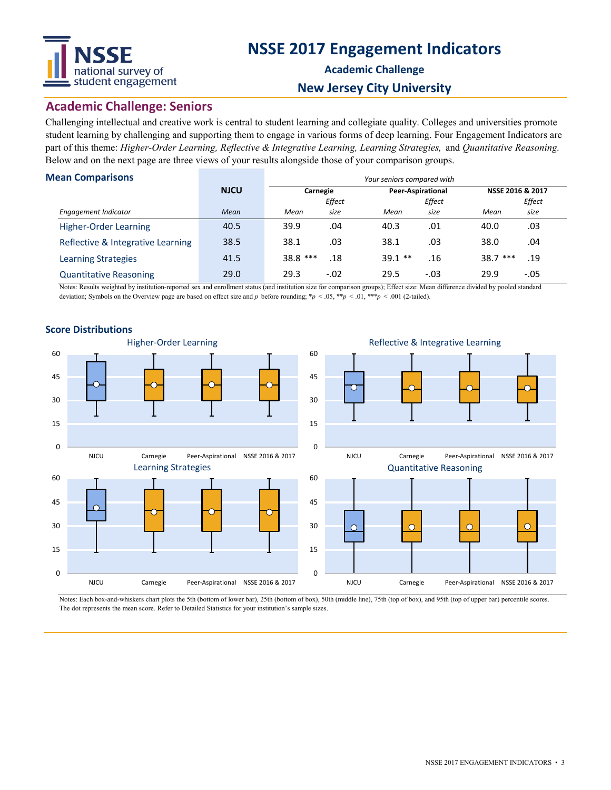

**Academic Challenge**

#### **New Jersey City University**

#### **Academic Challenge: Seniors**

Challenging intellectual and creative work is central to student learning and collegiate quality. Colleges and universities promote student learning by challenging and supporting them to engage in various forms of deep learning. Four Engagement Indicators are part of this theme: *Higher-Order Learning, Reflective & Integrative Learning, Learning Strategies,* and *Quantitative Reasoning.*  Below and on the next page are three views of your results alongside those of your comparison groups.

| <b>Mean Comparisons</b>           |                         |          |                          | Your seniors compared with |                  |            |        |
|-----------------------------------|-------------------------|----------|--------------------------|----------------------------|------------------|------------|--------|
|                                   | <b>NJCU</b><br>Carnegie |          | <b>Peer-Aspirational</b> |                            | NSSE 2016 & 2017 |            |        |
|                                   |                         |          | Effect                   |                            | Effect           |            | Effect |
| Engagement Indicator              | Mean                    | Mean     | size                     | Mean                       | size             | Mean       | size   |
| Higher-Order Learning             | 40.5                    | 39.9     | .04                      | 40.3                       | .01              | 40.0       | .03    |
| Reflective & Integrative Learning | 38.5                    | 38.1     | .03                      | 38.1                       | .03              | 38.0       | .04    |
| <b>Learning Strategies</b>        | 41.5                    | 38.8 *** | .18                      | $39.1$ **                  | .16              | $38.7$ *** | .19    |
| <b>Quantitative Reasoning</b>     | 29.0                    | 29.3     | $-.02$                   | 29.5                       | $-.03$           | 29.9       | $-.05$ |

Notes: Results weighted by institution-reported sex and enrollment status (and institution size for comparison groups); Effect size: Mean difference divided by pooled standard deviation; Symbols on the Overview page are based on effect size and *p* before rounding; \**p* < .05, \*\**p* < .01, \*\*\**p* < .001 (2-tailed).



**Score Distributions**

Notes: Each box-and-whiskers chart plots the 5th (bottom of lower bar), 25th (bottom of box), 50th (middle line), 75th (top of box), and 95th (top of upper bar) percentile scores. The dot represents the mean score. Refer to Detailed Statistics for your institution's sample sizes.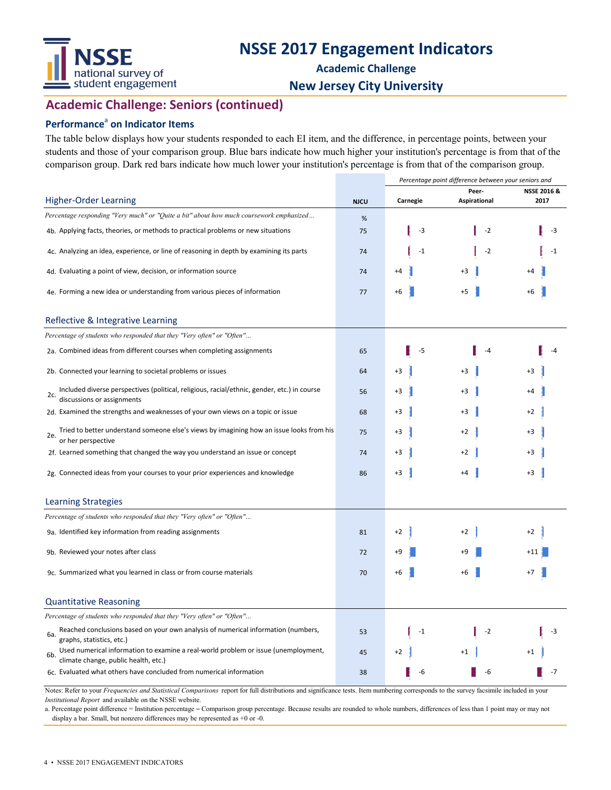

**Academic Challenge**

**New Jersey City University**

#### **Academic Challenge: Seniors (continued)**

#### **Performance<sup>ª</sup> on Indicator Items**

The table below displays how your students responded to each EI item, and the difference, in percentage points, between your students and those of your comparison group. Blue bars indicate how much higher your institution's percentage is from that of the comparison group. Dark red bars indicate how much lower your institution's percentage is from that of the comparison group.

|                                                                                                                                   |             | Percentage point difference between your seniors and |                       |                     |  |  |  |
|-----------------------------------------------------------------------------------------------------------------------------------|-------------|------------------------------------------------------|-----------------------|---------------------|--|--|--|
| <b>Higher-Order Learning</b>                                                                                                      | <b>NJCU</b> | Carnegie                                             | Peer-<br>Aspirational | NSSE 2016 &<br>2017 |  |  |  |
| Percentage responding "Very much" or "Quite a bit" about how much coursework emphasized                                           | %           |                                                      |                       |                     |  |  |  |
| 4b. Applying facts, theories, or methods to practical problems or new situations                                                  | 75          | -3                                                   | $-2$                  |                     |  |  |  |
| 4c. Analyzing an idea, experience, or line of reasoning in depth by examining its parts                                           | 74          | $-1$                                                 | -2                    | -1                  |  |  |  |
| 4d. Evaluating a point of view, decision, or information source                                                                   | 74          | +4                                                   | +3                    |                     |  |  |  |
| 4e. Forming a new idea or understanding from various pieces of information                                                        | 77          | +6                                                   | +5                    |                     |  |  |  |
| Reflective & Integrative Learning                                                                                                 |             |                                                      |                       |                     |  |  |  |
| Percentage of students who responded that they "Very often" or "Often"                                                            |             |                                                      |                       |                     |  |  |  |
| 2a. Combined ideas from different courses when completing assignments                                                             | 65          | -5                                                   |                       |                     |  |  |  |
| 2b. Connected your learning to societal problems or issues                                                                        | 64          | $+3$                                                 | $+3$                  | +3                  |  |  |  |
| Included diverse perspectives (political, religious, racial/ethnic, gender, etc.) in course<br>2c.<br>discussions or assignments  | 56          | $+3$                                                 | $+3$                  |                     |  |  |  |
| 2d. Examined the strengths and weaknesses of your own views on a topic or issue                                                   | 68          | +3                                                   | +3                    | +2                  |  |  |  |
| Tried to better understand someone else's views by imagining how an issue looks from his<br>2e.<br>or her perspective             | 75          | +3                                                   | +2                    | +3                  |  |  |  |
| 2f. Learned something that changed the way you understand an issue or concept                                                     | 74          | +3                                                   | +2                    | +3                  |  |  |  |
| 2g. Connected ideas from your courses to your prior experiences and knowledge                                                     | 86          | +3                                                   | +4                    | +3                  |  |  |  |
| <b>Learning Strategies</b>                                                                                                        |             |                                                      |                       |                     |  |  |  |
| Percentage of students who responded that they "Very often" or "Often"                                                            |             |                                                      |                       |                     |  |  |  |
| 9a. Identified key information from reading assignments                                                                           | 81          | $+2$                                                 | $+2$                  | +2                  |  |  |  |
| 9b. Reviewed your notes after class                                                                                               | 72          | +9                                                   |                       |                     |  |  |  |
| 9c. Summarized what you learned in class or from course materials                                                                 | 70          | +6                                                   | +6                    |                     |  |  |  |
| <b>Quantitative Reasoning</b>                                                                                                     |             |                                                      |                       |                     |  |  |  |
| Percentage of students who responded that they "Very often" or "Often"                                                            |             |                                                      |                       |                     |  |  |  |
| Reached conclusions based on your own analysis of numerical information (numbers,<br>6а.<br>graphs, statistics, etc.)             | 53          | $-1$                                                 | $-2$                  | -3                  |  |  |  |
| Used numerical information to examine a real-world problem or issue (unemployment,<br>6b.<br>climate change, public health, etc.) | 45          | $+2$                                                 | $+1$                  | $+1$                |  |  |  |
| 6c. Evaluated what others have concluded from numerical information                                                               | 38          | -6                                                   | -6                    | -7                  |  |  |  |

Notes: Refer to your *Frequencies and Statistical Comparisons* report for full distributions and significance tests. Item numbering corresponds to the survey facsimile included in your *Institutional Report* and available on the NSSE website.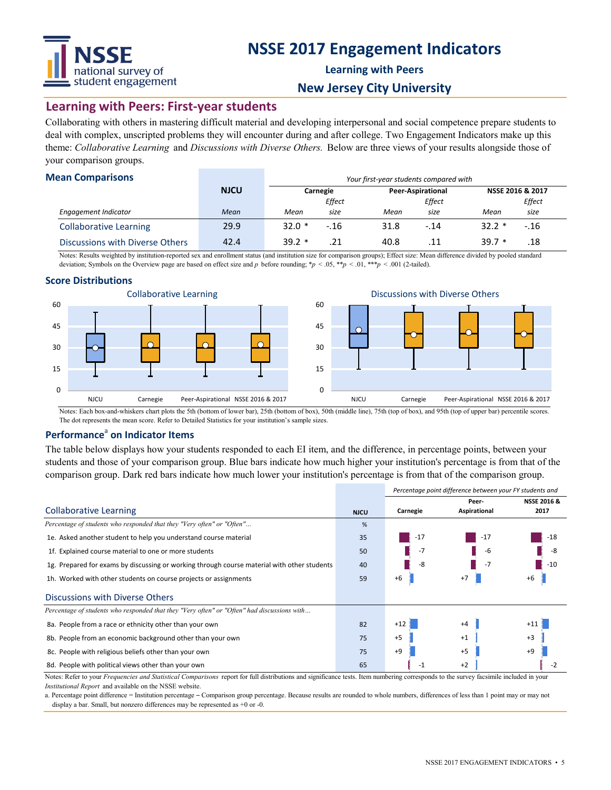

**Learning with Peers**

#### **New Jersey City University**

#### **Learning with Peers: First-year students**

Collaborating with others in mastering difficult material and developing interpersonal and social competence prepare students to deal with complex, unscripted problems they will encounter during and after college. Two Engagement Indicators make up this theme: *Collaborative Learning* and *Discussions with Diverse Others.* Below are three views of your results alongside those of your comparison groups.

#### **Mean Comparisons**

| lean Compansons                 |             | Your first-year students compared with |               |      |                          |         |                  |  |  |
|---------------------------------|-------------|----------------------------------------|---------------|------|--------------------------|---------|------------------|--|--|
|                                 | <b>NJCU</b> | Carnegie                               |               |      | <b>Peer-Aspirational</b> |         | NSSE 2016 & 2017 |  |  |
|                                 |             |                                        | <b>Effect</b> |      | Effect                   |         | Effect           |  |  |
| Engagement Indicator            | Mean        | Mean                                   | size          | Mean | size                     | Mean    | size             |  |  |
| <b>Collaborative Learning</b>   | 29.9        | $32.0*$                                | $-16$         | 31.8 | $-.14$                   | $32.2*$ | $-.16$           |  |  |
| Discussions with Diverse Others | 42.4        | $39.2*$                                | .21           | 40.8 | .11                      | $39.7*$ | .18              |  |  |

Notes: Results weighted by institution-reported sex and enrollment status (and institution size for comparison groups); Effect size: Mean difference divided by pooled standard deviation; Symbols on the Overview page are based on effect size and *p* before rounding; \**p* < .05, \*\**p* < .01, \*\*\**p* < .001 (2-tailed).

#### **Score Distributions**



Notes: Each box-and-whiskers chart plots the 5th (bottom of lower bar), 25th (bottom of box), 50th (middle line), 75th (top of box), and 95th (top of upper bar) percentile scores. The dot represents the mean score. Refer to Detailed Statistics for your institution's sample sizes.

#### **Performance**<sup>a</sup> on Indicator Items

The table below displays how your students responded to each EI item, and the difference, in percentage points, between your students and those of your comparison group. Blue bars indicate how much higher your institution's percentage is from that of the comparison group. Dark red bars indicate how much lower your institution's percentage is from that of the comparison group.

|                                                                                             |             |          | Percentage point difference between your FY students and |              |                        |  |  |  |  |
|---------------------------------------------------------------------------------------------|-------------|----------|----------------------------------------------------------|--------------|------------------------|--|--|--|--|
|                                                                                             |             |          |                                                          | Peer-        | <b>NSSE 2016 &amp;</b> |  |  |  |  |
| <b>Collaborative Learning</b>                                                               | <b>NJCU</b> | Carnegie |                                                          | Aspirational | 2017                   |  |  |  |  |
| Percentage of students who responded that they "Very often" or "Often"                      | %           |          |                                                          |              |                        |  |  |  |  |
| 1e. Asked another student to help you understand course material                            | 35          |          | $-17$                                                    | $-17$        | $-18$                  |  |  |  |  |
| 1f. Explained course material to one or more students                                       | 50          |          | $-7$                                                     | -6           |                        |  |  |  |  |
| 1g. Prepared for exams by discussing or working through course material with other students | 40          |          | -8                                                       | $-7$         | $-10$                  |  |  |  |  |
| 1h. Worked with other students on course projects or assignments                            | 59          | +6       | $+7$                                                     |              | $+6$                   |  |  |  |  |
| Discussions with Diverse Others                                                             |             |          |                                                          |              |                        |  |  |  |  |
| Percentage of students who responded that they "Very often" or "Often" had discussions with |             |          |                                                          |              |                        |  |  |  |  |
| 8a. People from a race or ethnicity other than your own                                     | 82          | $+12$    | $+4$                                                     |              | $+11$                  |  |  |  |  |
| 8b. People from an economic background other than your own                                  | 75          | $+5$     | $+1$                                                     |              | $+3$                   |  |  |  |  |
| 8c. People with religious beliefs other than your own                                       | 75          | $+9$     | $+5$                                                     |              | $+9$                   |  |  |  |  |
| 8d. People with political views other than your own                                         | 65          |          | $+2$<br>-1                                               |              | -2                     |  |  |  |  |

Notes: Refer to your *Frequencies and Statistical Comparisons* report for full distributions and significance tests. Item numbering corresponds to the survey facsimile included in your *Institutional Report* and available on the NSSE website.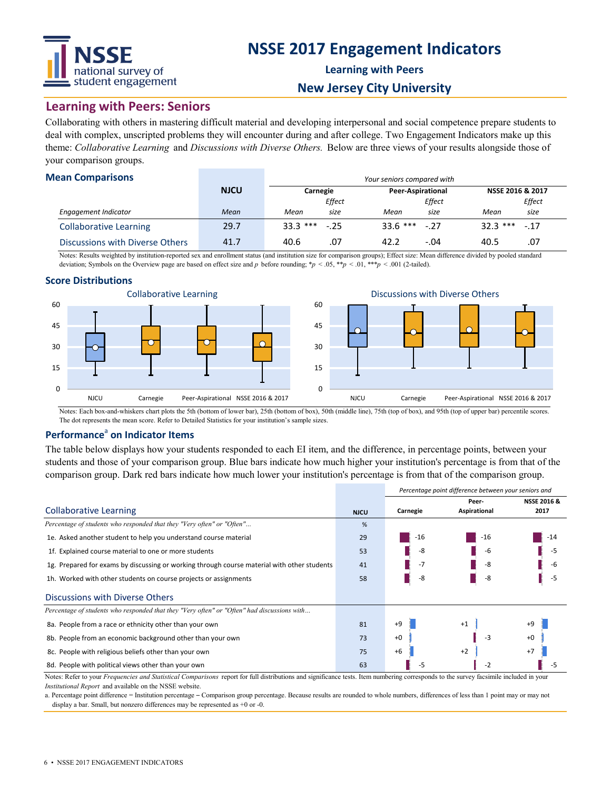

**Learning with Peers**

#### **New Jersey City University**

#### **Learning with Peers: Seniors**

Collaborating with others in mastering difficult material and developing interpersonal and social competence prepare students to deal with complex, unscripted problems they will encounter during and after college. Two Engagement Indicators make up this theme: *Collaborative Learning* and *Discussions with Diverse Others.* Below are three views of your results alongside those of your comparison groups.

#### **Mean Comparisons**

| lean Compansons                 |             | Your seniors compared with |                    |                     |  |  |  |  |
|---------------------------------|-------------|----------------------------|--------------------|---------------------|--|--|--|--|
|                                 | <b>NJCU</b> | Carnegie                   | Peer-Aspirational  | NSSE 2016 & 2017    |  |  |  |  |
|                                 |             | <b>Effect</b>              | Effect             | <b>Effect</b>       |  |  |  |  |
| Engagement Indicator            | Mean        | size<br>Mean               | Mean<br>size       | size<br>Mean        |  |  |  |  |
| <b>Collaborative Learning</b>   | 29.7        | $33.3$ ***<br>$-25$        | $33.6***$<br>$-27$ | $32.3***$<br>$-.17$ |  |  |  |  |
| Discussions with Diverse Others | 41.7        | 40.6<br>.07                | 42.2<br>$-.04$     | .07<br>40.5         |  |  |  |  |

Notes: Results weighted by institution-reported sex and enrollment status (and institution size for comparison groups); Effect size: Mean difference divided by pooled standard deviation; Symbols on the Overview page are based on effect size and *p* before rounding; \**p* < .05, \*\**p* < .01, \*\*\**p* < .001 (2-tailed).

#### **Score Distributions**



Notes: Each box-and-whiskers chart plots the 5th (bottom of lower bar), 25th (bottom of box), 50th (middle line), 75th (top of box), and 95th (top of upper bar) percentile scores. The dot represents the mean score. Refer to Detailed Statistics for your institution's sample sizes.

#### **Performance**<sup>a</sup> on Indicator Items

The table below displays how your students responded to each EI item, and the difference, in percentage points, between your students and those of your comparison group. Blue bars indicate how much higher your institution's percentage is from that of the comparison group. Dark red bars indicate how much lower your institution's percentage is from that of the comparison group.

|                                                                                             |             |          | Percentage point difference between your seniors and |       |                        |  |  |  |
|---------------------------------------------------------------------------------------------|-------------|----------|------------------------------------------------------|-------|------------------------|--|--|--|
|                                                                                             |             |          | Peer-                                                |       | <b>NSSE 2016 &amp;</b> |  |  |  |
| <b>Collaborative Learning</b>                                                               | <b>NJCU</b> | Carnegie | Aspirational                                         |       | 2017                   |  |  |  |
| Percentage of students who responded that they "Very often" or "Often"                      | %           |          |                                                      |       |                        |  |  |  |
| 1e. Asked another student to help you understand course material                            | 29          | $-16$    |                                                      | $-16$ | $-14$                  |  |  |  |
| 1f. Explained course material to one or more students                                       | 53          | -8       |                                                      | -6    |                        |  |  |  |
| 1g. Prepared for exams by discussing or working through course material with other students | 41          |          |                                                      | -8    |                        |  |  |  |
| 1h. Worked with other students on course projects or assignments                            | 58          | -8       |                                                      | -8    |                        |  |  |  |
| Discussions with Diverse Others                                                             |             |          |                                                      |       |                        |  |  |  |
| Percentage of students who responded that they "Very often" or "Often" had discussions with |             |          |                                                      |       |                        |  |  |  |
| 8a. People from a race or ethnicity other than your own                                     | 81          | $^{+9}$  | $+1$                                                 |       | $+9$                   |  |  |  |
| 8b. People from an economic background other than your own                                  | 73          | $+0$     |                                                      | -3    | $+0$                   |  |  |  |
| 8c. People with religious beliefs other than your own                                       | 75          | $+6$     | $+2$                                                 |       | $+7$                   |  |  |  |
| 8d. People with political views other than your own                                         | 63          | -5       |                                                      | $-2$  |                        |  |  |  |

Notes: Refer to your *Frequencies and Statistical Comparisons* report for full distributions and significance tests. Item numbering corresponds to the survey facsimile included in your *Institutional Report* and available on the NSSE website.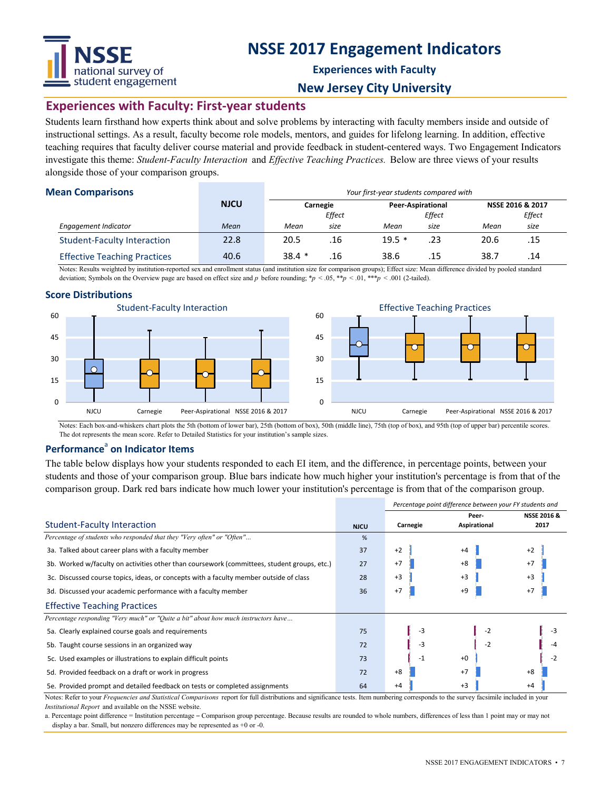

**Experiences with Faculty**

#### **New Jersey City University**

#### **Experiences with Faculty: First-year students**

Students learn firsthand how experts think about and solve problems by interacting with faculty members inside and outside of instructional settings. As a result, faculty become role models, mentors, and guides for lifelong learning. In addition, effective teaching requires that faculty deliver course material and provide feedback in student-centered ways. Two Engagement Indicators investigate this theme: *Student-Faculty Interaction* and *Effective Teaching Practices.* Below are three views of your results alongside those of your comparison groups.

| <b>Mean Comparisons</b>             |             | Your first-year students compared with |        |         |                          |      |                  |  |  |
|-------------------------------------|-------------|----------------------------------------|--------|---------|--------------------------|------|------------------|--|--|
|                                     | <b>NJCU</b> | Carnegie                               |        |         | <b>Peer-Aspirational</b> |      | NSSE 2016 & 2017 |  |  |
|                                     |             |                                        | Effect |         | Effect                   |      | Effect           |  |  |
| Engagement Indicator                | Mean        | Mean                                   | size   | Mean    | size                     | Mean | size             |  |  |
| <b>Student-Faculty Interaction</b>  | 22.8        | 20.5                                   | .16    | $19.5*$ | .23                      | 20.6 | .15              |  |  |
| <b>Effective Teaching Practices</b> | 40.6        | $38.4*$                                | .16    | 38.6    | .15                      | 38.7 | .14              |  |  |

Notes: Results weighted by institution-reported sex and enrollment status (and institution size for comparison groups); Effect size: Mean difference divided by pooled standard deviation; Symbols on the Overview page are based on effect size and *p* before rounding;  $\gamma p < 0.05$ ,  $\gamma p < 0.01$ ,  $\gamma p$  = .001 (2-tailed).

#### **Score Distributions**



Notes: Each box-and-whiskers chart plots the 5th (bottom of lower bar), 25th (bottom of box), 50th (middle line), 75th (top of box), and 95th (top of upper bar) percentile scores. The dot represents the mean score. Refer to Detailed Statistics for your institution's sample sizes.

#### **Performance<sup>ª</sup> on Indicator Items**

The table below displays how your students responded to each EI item, and the difference, in percentage points, between your students and those of your comparison group. Blue bars indicate how much higher your institution's percentage is from that of the comparison group. Dark red bars indicate how much lower your institution's percentage is from that of the comparison group.

|                                                                                             |             | Percentage point difference between your FY students and |      |              |      |      |                        |
|---------------------------------------------------------------------------------------------|-------------|----------------------------------------------------------|------|--------------|------|------|------------------------|
|                                                                                             |             |                                                          |      | Peer-        |      |      | <b>NSSE 2016 &amp;</b> |
| <b>Student-Faculty Interaction</b>                                                          | <b>NJCU</b> | Carnegie                                                 |      | Aspirational |      |      | 2017                   |
| Percentage of students who responded that they "Very often" or "Often"                      | %           |                                                          |      |              |      |      |                        |
| 3a. Talked about career plans with a faculty member                                         | 37          | $+2$                                                     |      | $+4$         |      | $+2$ |                        |
| 3b. Worked w/faculty on activities other than coursework (committees, student groups, etc.) | 27          | $+7$                                                     |      | $+8$         |      | $+7$ |                        |
| 3c. Discussed course topics, ideas, or concepts with a faculty member outside of class      | 28          | $+3$                                                     |      | $+3$         |      | $+3$ |                        |
| 3d. Discussed your academic performance with a faculty member                               | 36          | $+7$                                                     |      | $+9$         |      | $+7$ |                        |
| <b>Effective Teaching Practices</b>                                                         |             |                                                          |      |              |      |      |                        |
| Percentage responding "Very much" or "Quite a bit" about how much instructors have          |             |                                                          |      |              |      |      |                        |
| 5a. Clearly explained course goals and requirements                                         | 75          |                                                          | $-3$ |              | $-2$ |      | -3                     |
| 5b. Taught course sessions in an organized way                                              | 72          |                                                          | -3   |              | $-2$ |      |                        |
| 5c. Used examples or illustrations to explain difficult points                              | 73          |                                                          | -1   | $+0$         |      |      | $-2$                   |
| 5d. Provided feedback on a draft or work in progress                                        | 72          | $+8$                                                     |      | $+7$         |      | $+8$ |                        |
| 5e. Provided prompt and detailed feedback on tests or completed assignments                 | 64          | $+4$                                                     |      | $+3$         |      | $+4$ |                        |

Notes: Refer to your *Frequencies and Statistical Comparisons* report for full distributions and significance tests. Item numbering corresponds to the survey facsimile included in your *Institutional Report* and available on the NSSE website.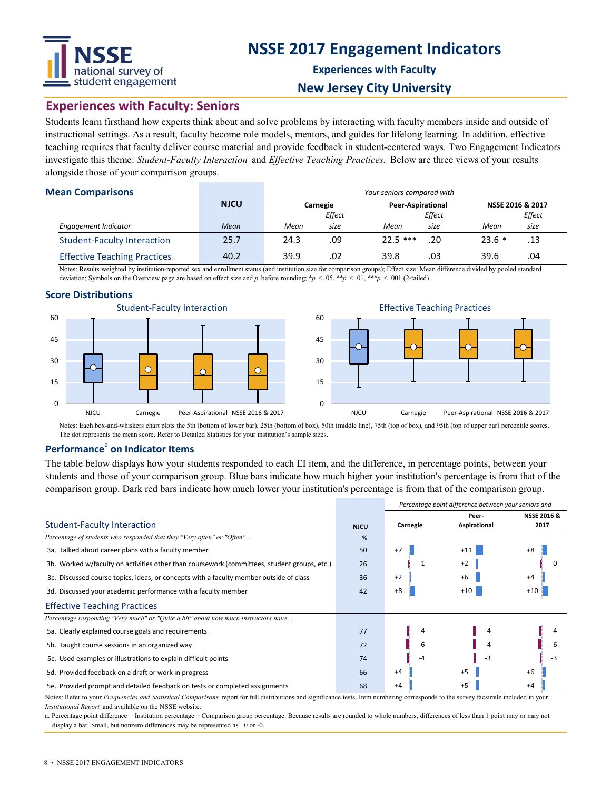

**Experiences with Faculty**

#### **New Jersey City University**

#### **Experiences with Faculty: Seniors**

Students learn firsthand how experts think about and solve problems by interacting with faculty members inside and outside of instructional settings. As a result, faculty become role models, mentors, and guides for lifelong learning. In addition, effective teaching requires that faculty deliver course material and provide feedback in student-centered ways. Two Engagement Indicators investigate this theme: *Student-Faculty Interaction* and *Effective Teaching Practices.* Below are three views of your results alongside those of your comparison groups.

#### **Mean Comparisons**

| lean Comparisons                    |             | Your seniors compared with |      |           |                                    |         |                            |  |  |
|-------------------------------------|-------------|----------------------------|------|-----------|------------------------------------|---------|----------------------------|--|--|
|                                     | <b>NJCU</b> | Carnegie<br>Effect         |      |           | <b>Peer-Aspirational</b><br>Effect |         | NSSE 2016 & 2017<br>Effect |  |  |
| Engagement Indicator                | Mean        | Mean                       | size | Mean      | size                               | Mean    | size                       |  |  |
| <b>Student-Faculty Interaction</b>  | 25.7        | 24.3                       | .09  | $22.5***$ | .20                                | $23.6*$ | .13                        |  |  |
| <b>Effective Teaching Practices</b> | 40.2        | 39.9                       | .02  | 39.8      | .03                                | 39.6    | .04                        |  |  |

Notes: Results weighted by institution-reported sex and enrollment status (and institution size for comparison groups); Effect size: Mean difference divided by pooled standard deviation; Symbols on the Overview page are based on effect size and *p* before rounding;  $\gamma p < 0.05$ ,  $\gamma p < 0.01$ ,  $\gamma p$  = .001 (2-tailed).

#### **Score Distributions**



Notes: Each box-and-whiskers chart plots the 5th (bottom of lower bar), 25th (bottom of box), 50th (middle line), 75th (top of box), and 95th (top of upper bar) percentile scores. The dot represents the mean score. Refer to Detailed Statistics for your institution's sample sizes.

#### **Performance<sup>ª</sup> on Indicator Items**

The table below displays how your students responded to each EI item, and the difference, in percentage points, between your students and those of your comparison group. Blue bars indicate how much higher your institution's percentage is from that of the comparison group. Dark red bars indicate how much lower your institution's percentage is from that of the comparison group.

|                                                                                             |             | Percentage point difference between your seniors and |      |              |    |       |                        |
|---------------------------------------------------------------------------------------------|-------------|------------------------------------------------------|------|--------------|----|-------|------------------------|
|                                                                                             |             |                                                      |      | Peer-        |    |       | <b>NSSE 2016 &amp;</b> |
| <b>Student-Faculty Interaction</b>                                                          | <b>NJCU</b> | Carnegie                                             |      | Aspirational |    |       | 2017                   |
| Percentage of students who responded that they "Very often" or "Often"                      | %           |                                                      |      |              |    |       |                        |
| 3a. Talked about career plans with a faculty member                                         | 50          | $+7$                                                 |      | $+11$        |    | $+8$  |                        |
| 3b. Worked w/faculty on activities other than coursework (committees, student groups, etc.) | 26          |                                                      | $-1$ | $+2$         |    |       |                        |
| 3c. Discussed course topics, ideas, or concepts with a faculty member outside of class      | 36          | $+2$                                                 |      | $+6$         |    | $+4$  |                        |
| 3d. Discussed your academic performance with a faculty member                               | 42          | $+8$                                                 |      | $+10$        |    | $+10$ |                        |
| <b>Effective Teaching Practices</b>                                                         |             |                                                      |      |              |    |       |                        |
| Percentage responding "Very much" or "Quite a bit" about how much instructors have          |             |                                                      |      |              |    |       |                        |
| 5a. Clearly explained course goals and requirements                                         | 77          |                                                      |      |              |    |       |                        |
| 5b. Taught course sessions in an organized way                                              | 72          |                                                      | -6   |              |    |       |                        |
| 5c. Used examples or illustrations to explain difficult points                              | 74          |                                                      | -4   |              | -3 |       | -3                     |
| 5d. Provided feedback on a draft or work in progress                                        | 66          | $+4$                                                 |      | $+5$         |    | $+6$  |                        |
| 5e. Provided prompt and detailed feedback on tests or completed assignments                 | 68          | $+4$                                                 |      | $+5$         |    | $+4$  |                        |

Notes: Refer to your *Frequencies and Statistical Comparisons* report for full distributions and significance tests. Item numbering corresponds to the survey facsimile included in your *Institutional Report* and available on the NSSE website.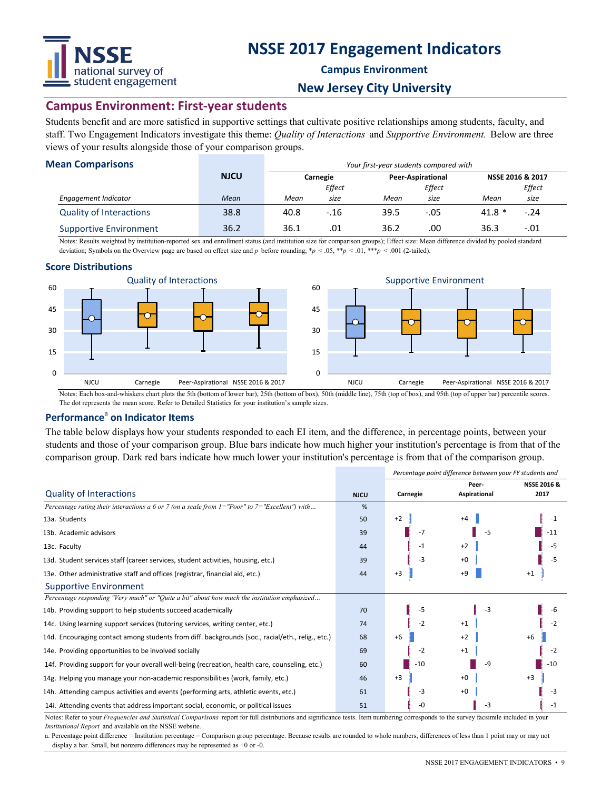

**Campus Environment**

#### **New Jersey City University**

#### **Campus Environment: First-year students**

Students benefit and are more satisfied in supportive settings that cultivate positive relationships among students, faculty, and staff. Two Engagement Indicators investigate this theme: *Quality of Interactions* and *Supportive Environment.* Below are three views of your results alongside those of your comparison groups.

| <b>Mean Comparisons</b>        |             | Your first-year students compared with |        |                          |        |                  |        |  |  |
|--------------------------------|-------------|----------------------------------------|--------|--------------------------|--------|------------------|--------|--|--|
|                                | <b>NJCU</b> | Carnegie                               |        | <b>Peer-Aspirational</b> |        | NSSE 2016 & 2017 |        |  |  |
|                                |             |                                        | Effect |                          | Effect |                  | Effect |  |  |
| Engagement Indicator           | Mean        | Mean                                   | size   | Mean                     | size   | Mean             | size   |  |  |
| <b>Quality of Interactions</b> | 38.8        | 40.8                                   | $-.16$ | 39.5                     | $-.05$ | $41.8*$          | $-.24$ |  |  |
| <b>Supportive Environment</b>  | 36.2        | 36.1                                   | .01    | 36.2                     | .00    | 36.3             | $-.01$ |  |  |

Notes: Results weighted by institution-reported sex and enrollment status (and institution size for comparison groups); Effect size: Mean difference divided by pooled standard deviation; Symbols on the Overview page are based on effect size and *p* before rounding; \**p* < .05, \*\**p* < .01, \*\*\**p* < .001 (2-tailed).

#### **Score Distributions**



The dot represents the mean score. Refer to Detailed Statistics for your institution's sample sizes.

#### **Performance**<sup>a</sup> on Indicator Items

The table below displays how your students responded to each EI item, and the difference, in percentage points, between your students and those of your comparison group. Blue bars indicate how much higher your institution's percentage is from that of the comparison group. Dark red bars indicate how much lower your institution's percentage is from that of the comparison group.

|                                                                                                                                                                                                                                                                                                             |             | Percentage point difference between your FY students and |       |              |       |      |                                |
|-------------------------------------------------------------------------------------------------------------------------------------------------------------------------------------------------------------------------------------------------------------------------------------------------------------|-------------|----------------------------------------------------------|-------|--------------|-------|------|--------------------------------|
| <b>Quality of Interactions</b>                                                                                                                                                                                                                                                                              | <b>NJCU</b> | Carnegie                                                 |       | Aspirational | Peer- |      | <b>NSSE 2016 &amp;</b><br>2017 |
| Percentage rating their interactions a 6 or 7 (on a scale from $1 = "Poor"$ to $7 = "Excell"$ ) with                                                                                                                                                                                                        | %           |                                                          |       |              |       |      |                                |
| 13a. Students                                                                                                                                                                                                                                                                                               | 50          | $+2$                                                     |       | $+4$         |       |      |                                |
| 13b. Academic advisors                                                                                                                                                                                                                                                                                      | 39          |                                                          |       |              | -5    |      | $-11$                          |
| 13c. Faculty                                                                                                                                                                                                                                                                                                | 44          |                                                          | -1    | $+2$         |       |      |                                |
| 13d. Student services staff (career services, student activities, housing, etc.)                                                                                                                                                                                                                            | 39          |                                                          | -3    | $+0$         |       |      |                                |
| 13e. Other administrative staff and offices (registrar, financial aid, etc.)                                                                                                                                                                                                                                | 44          | $+3$                                                     |       | $+9$         |       | $+1$ |                                |
| <b>Supportive Environment</b>                                                                                                                                                                                                                                                                               |             |                                                          |       |              |       |      |                                |
| Percentage responding "Very much" or "Quite a bit" about how much the institution emphasized                                                                                                                                                                                                                |             |                                                          |       |              |       |      |                                |
| 14b. Providing support to help students succeed academically                                                                                                                                                                                                                                                | 70          |                                                          | -5    |              | -3    |      |                                |
| 14c. Using learning support services (tutoring services, writing center, etc.)                                                                                                                                                                                                                              |             |                                                          | -2    | $+1$         |       |      | -2                             |
| 14d. Encouraging contact among students from diff. backgrounds (soc., racial/eth., relig., etc.)                                                                                                                                                                                                            |             | $+6$                                                     |       | $+2$         |       | $+6$ |                                |
| 14e. Providing opportunities to be involved socially                                                                                                                                                                                                                                                        | 69          |                                                          | -2    | $+1$         |       |      | -2                             |
| 14f. Providing support for your overall well-being (recreation, health care, counseling, etc.)                                                                                                                                                                                                              | 60          |                                                          | $-10$ |              | -9    |      | $-10$                          |
| 14g. Helping you manage your non-academic responsibilities (work, family, etc.)                                                                                                                                                                                                                             | 46          | $+3$                                                     |       | $+0$         |       | $+3$ |                                |
| 14h. Attending campus activities and events (performing arts, athletic events, etc.)                                                                                                                                                                                                                        | 61          |                                                          | -3    | $+0$         |       |      | -3                             |
| 14i. Attending events that address important social, economic, or political issues                                                                                                                                                                                                                          | 51          |                                                          | -0    |              |       |      |                                |
| $\mathbf{M}$ , $\mathbf{D}$ , $\mathbf{C}$ , $\mathbf{D}$ , $\mathbf{D}$ , $\mathbf{D}$ , $\mathbf{D}$ , $\mathbf{D}$ , $\mathbf{D}$ , $\mathbf{D}$ , $\mathbf{D}$ , $\mathbf{D}$ , $\mathbf{D}$ , $\mathbf{D}$ , $\mathbf{D}$ , $\mathbf{D}$ , $\mathbf{D}$ , $\mathbf{D}$ , $\mathbf{D}$ , $\mathbf{D}$ , |             |                                                          |       | 1.1.1        | .     |      |                                |

Notes: Refer to your *Frequencies and Statistical Comparisons* report for full distributions and significance tests. Item numbering corresponds to the survey facsimile included in your *Institutional Report* and available on the NSSE website.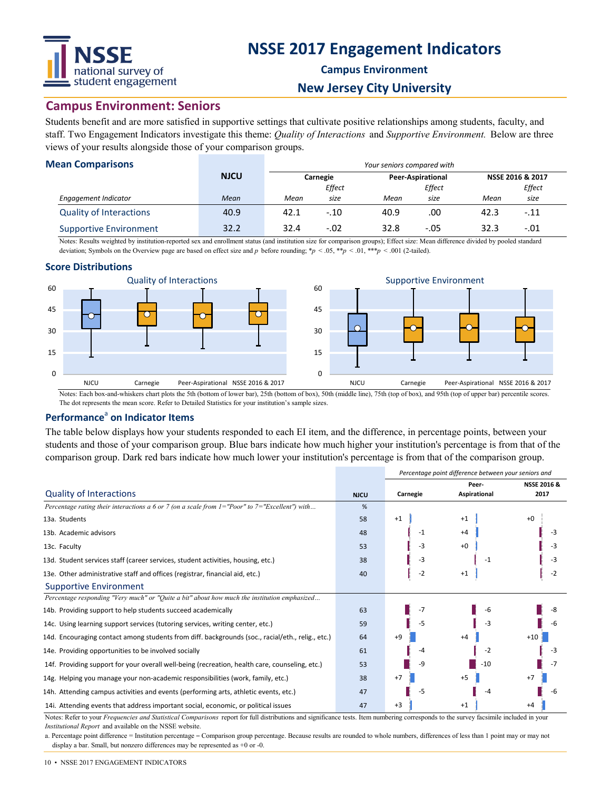

**Campus Environment**

#### **New Jersey City University**

#### **Campus Environment: Seniors**

Students benefit and are more satisfied in supportive settings that cultivate positive relationships among students, faculty, and staff. Two Engagement Indicators investigate this theme: *Quality of Interactions* and *Supportive Environment.* Below are three views of your results alongside those of your comparison groups.

| <b>Mean Comparisons</b>        |             | Your seniors compared with |        |                          |        |                  |        |  |  |
|--------------------------------|-------------|----------------------------|--------|--------------------------|--------|------------------|--------|--|--|
|                                | <b>NJCU</b> | Carnegie                   |        | <b>Peer-Aspirational</b> |        | NSSE 2016 & 2017 |        |  |  |
|                                |             |                            | Effect |                          | Effect |                  | Effect |  |  |
| Engagement Indicator           | Mean        | Mean                       | size   | Mean                     | size   | Mean             | size   |  |  |
| <b>Quality of Interactions</b> | 40.9        | 42.1                       | $-.10$ | 40.9                     | .00    | 42.3             | $-.11$ |  |  |
| <b>Supportive Environment</b>  | 32.2        | 32.4                       | $-.02$ | 32.8                     | $-.05$ | 32.3             | $-.01$ |  |  |

Notes: Results weighted by institution-reported sex and enrollment status (and institution size for comparison groups); Effect size: Mean difference divided by pooled standard deviation; Symbols on the Overview page are based on effect size and *p* before rounding; \**p* < .05, \*\**p* < .01, \*\*\**p* < .001 (2-tailed).

#### **Score Distributions**



The dot represents the mean score. Refer to Detailed Statistics for your institution's sample sizes.

#### **Performance**<sup>a</sup> on Indicator Items

The table below displays how your students responded to each EI item, and the difference, in percentage points, between your students and those of your comparison group. Blue bars indicate how much higher your institution's percentage is from that of the comparison group. Dark red bars indicate how much lower your institution's percentage is from that of the comparison group.

|                                                                                                                                                                                                                                                                                                             |             | Percentage point difference between your seniors and |    |              |       |                        |    |  |
|-------------------------------------------------------------------------------------------------------------------------------------------------------------------------------------------------------------------------------------------------------------------------------------------------------------|-------------|------------------------------------------------------|----|--------------|-------|------------------------|----|--|
|                                                                                                                                                                                                                                                                                                             |             |                                                      |    |              | Peer- | <b>NSSE 2016 &amp;</b> |    |  |
| <b>Quality of Interactions</b>                                                                                                                                                                                                                                                                              | <b>NJCU</b> | Carnegie                                             |    | Aspirational |       | 2017                   |    |  |
| Percentage rating their interactions a 6 or 7 (on a scale from $1 = "Poor"$ to $7 = "Excell"$ ) with                                                                                                                                                                                                        | %           |                                                      |    |              |       |                        |    |  |
| 13a. Students                                                                                                                                                                                                                                                                                               | 58          | $+1$                                                 |    | $+1$         |       | $+0$                   |    |  |
| 13b. Academic advisors                                                                                                                                                                                                                                                                                      | 48          |                                                      | -1 | $+4$         |       |                        | -3 |  |
| 13c. Faculty                                                                                                                                                                                                                                                                                                | 53          |                                                      | -3 | $+0$         |       |                        | -3 |  |
| 13d. Student services staff (career services, student activities, housing, etc.)                                                                                                                                                                                                                            | 38          |                                                      | -3 |              | -1    |                        |    |  |
| 13e. Other administrative staff and offices (registrar, financial aid, etc.)                                                                                                                                                                                                                                | 40          |                                                      | -2 | $+1$         |       |                        | -2 |  |
| <b>Supportive Environment</b>                                                                                                                                                                                                                                                                               |             |                                                      |    |              |       |                        |    |  |
| Percentage responding "Very much" or "Quite a bit" about how much the institution emphasized                                                                                                                                                                                                                |             |                                                      |    |              |       |                        |    |  |
| 14b. Providing support to help students succeed academically                                                                                                                                                                                                                                                | 63          |                                                      |    |              |       |                        |    |  |
| 14c. Using learning support services (tutoring services, writing center, etc.)                                                                                                                                                                                                                              | 59          |                                                      | -5 |              | -3    |                        |    |  |
| 14d. Encouraging contact among students from diff. backgrounds (soc., racial/eth., relig., etc.)                                                                                                                                                                                                            |             | $+9$                                                 |    | $+4$         |       | $+10$                  |    |  |
| 14e. Providing opportunities to be involved socially                                                                                                                                                                                                                                                        | 61          |                                                      |    |              | $-2$  |                        |    |  |
| 14f. Providing support for your overall well-being (recreation, health care, counseling, etc.)                                                                                                                                                                                                              | 53          |                                                      | -9 |              | $-10$ |                        |    |  |
| 14g. Helping you manage your non-academic responsibilities (work, family, etc.)                                                                                                                                                                                                                             | 38          | $+7$                                                 |    | $+5$         |       | $+7$                   |    |  |
| 14h. Attending campus activities and events (performing arts, athletic events, etc.)                                                                                                                                                                                                                        | 47          |                                                      | -5 |              | -4    |                        |    |  |
| 14i. Attending events that address important social, economic, or political issues                                                                                                                                                                                                                          | 47          | $+3$                                                 |    | $+1$         |       | +4                     |    |  |
| $\mathbf{M}$ , $\mathbf{D}$ , $\mathbf{C}$ , $\mathbf{D}$ , $\mathbf{D}$ , $\mathbf{D}$ , $\mathbf{D}$ , $\mathbf{D}$ , $\mathbf{D}$ , $\mathbf{D}$ , $\mathbf{D}$ , $\mathbf{D}$ , $\mathbf{D}$ , $\mathbf{D}$ , $\mathbf{D}$ , $\mathbf{D}$ , $\mathbf{D}$ , $\mathbf{D}$ , $\mathbf{D}$ , $\mathbf{D}$ , |             |                                                      |    |              |       |                        |    |  |

Notes: Refer to your *Frequencies and Statistical Comparisons* report for full distributions and significance tests. Item numbering corresponds to the survey facsimile included in your *Institutional Report* and available on the NSSE website.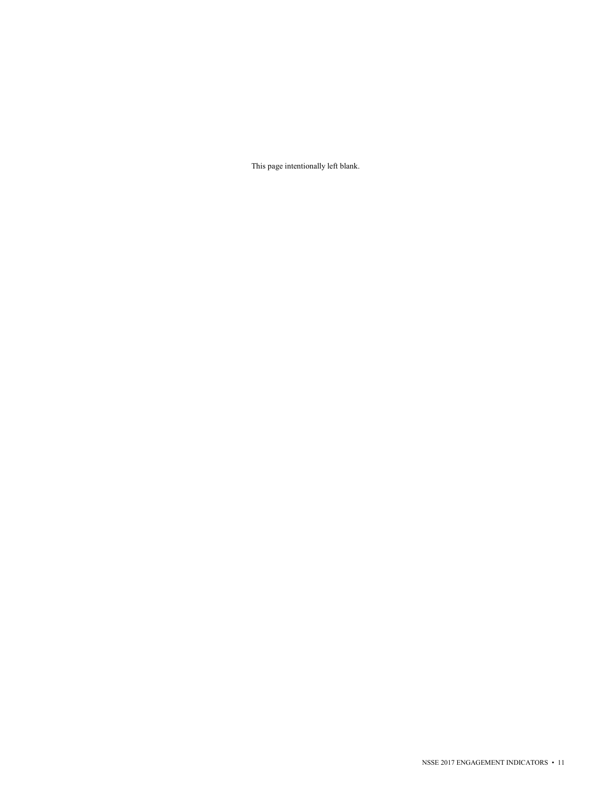This page intentionally left blank.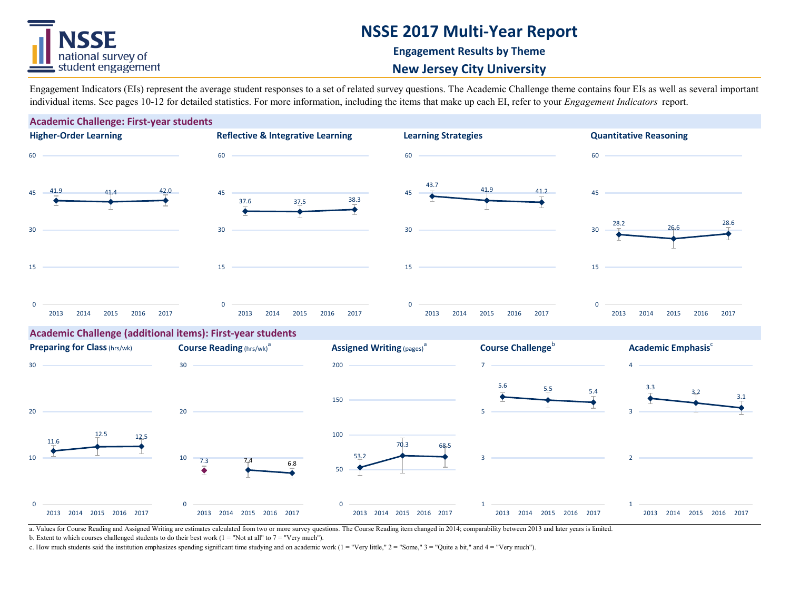# national survey of student engagement

### **NSSE 2017 Multi-Year Report Engagement Results by Theme**

**New Jersey City University**

Engagement Indicators (EIs) represent the average student responses to a set of related survey questions. The Academic Challenge theme contains four EIs as well as several important individual items. See pages 10-12 for detailed statistics. For more information, including the items that make up each EI, refer to your *Engagement Indicators* report.



a. Values for Course Reading and Assigned Writing are estimates calculated from two or more survey questions. The Course Reading item changed in 2014; comparability between 2013 and later years is limited.

b. Extent to which courses challenged students to do their best work ( $1 =$  "Not at all" to  $7 =$  "Very much").

c. How much students said the institution emphasizes spending significant time studying and on academic work  $(1 = "Very little," 2 = "Some," 3 = "Oute a bit," and 4 = "Very much,"$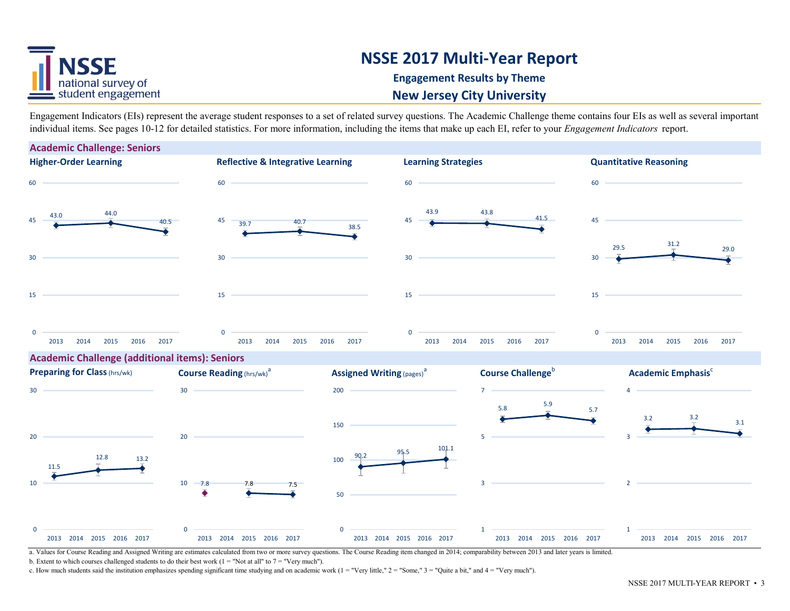

## **NSSE 2017 Multi-Year Report**

**Engagement Results by Theme**

**New Jersey City University**

Engagement Indicators (EIs) represent the average student responses to a set of related survey questions. The Academic Challenge theme contains four EIs as well as several important individual items. See pages 10-12 for detailed statistics. For more information, including the items that make up each EI, refer to your *Engagement Indicators* report.

| <b>Academic Challenge: Seniors</b>                    |                                                                                             |                                                                      |                                           |
|-------------------------------------------------------|---------------------------------------------------------------------------------------------|----------------------------------------------------------------------|-------------------------------------------|
| <b>Higher-Order Learning</b>                          | <b>Reflective &amp; Integrative Learning</b>                                                | <b>Learning Strategies</b>                                           | <b>Quantitative Reasoning</b>             |
| 60                                                    | $60 -$                                                                                      | 60                                                                   | 60                                        |
| 44.0<br>43.0<br>45<br>40.5                            | 45<br>40.7<br>39.7<br>38.5                                                                  | 43.9<br>43.8<br>41.5<br>45                                           | 45                                        |
| 30                                                    | 30 <sup>°</sup>                                                                             | 30 <sup>°</sup>                                                      | 31.2<br>29.5<br>29.0<br>30                |
| 15                                                    | 15                                                                                          | 15                                                                   | 15                                        |
| $\mathbf 0$<br>2014<br>2015<br>2016<br>2017<br>2013   | $\Omega$<br>2013<br>2014<br>2015<br>2016<br>2017                                            | 0<br>2013<br>2014<br>2015<br>2016<br>2017                            | O<br>2013<br>2014<br>2015<br>2017<br>2016 |
| <b>Academic Challenge (additional items): Seniors</b> |                                                                                             |                                                                      |                                           |
| <b>Preparing for Class (hrs/wk)</b>                   | <b>Assigned Writing (pages)</b> <sup>a</sup><br><b>Course Reading (hrs/wk)</b> <sup>a</sup> | Course Challenge <sup>b</sup>                                        | <b>Academic Emphasis</b> <sup>c</sup>     |
| 30<br>30 <sup>°</sup>                                 | 200                                                                                         | 5.9<br>5.8                                                           | 5.7                                       |
| 20<br>20                                              | 150                                                                                         | 5                                                                    | 3.2<br>3.2<br>3.1                         |
| 12.8<br>13.2<br>11.5                                  | 90.2<br>100                                                                                 | 101.1<br>95.5                                                        |                                           |
| 10<br>$10 - 7.8$<br>$\overline{\blacklozenge}$        | 7.8<br>7.5<br>50                                                                            | $\overline{3}$                                                       | $\overline{2}$                            |
| $\Omega$<br>2013 2014 2015 2016 2017                  | $\Omega$<br>2013 2014 2015 2016 2017                                                        | $\mathbf{1}$<br>2013 2014 2015 2016 2017<br>2013 2014 2015 2016 2017 | 2013 2014 2015 2016 2017                  |

a. Values for Course Reading and Assigned Writing are estimates calculated from two or more survey questions. The Course Reading item changed in 2014; comparability between 2013 and later years is limited.

b. Extent to which courses challenged students to do their best work ( $1 =$  "Not at all" to  $7 =$  "Very much").

c. How much students said the institution emphasizes spending significant time studying and on academic work (1 = "Very little," 2 = "Some," 3 = "Quite a bit," and 4 = "Very much").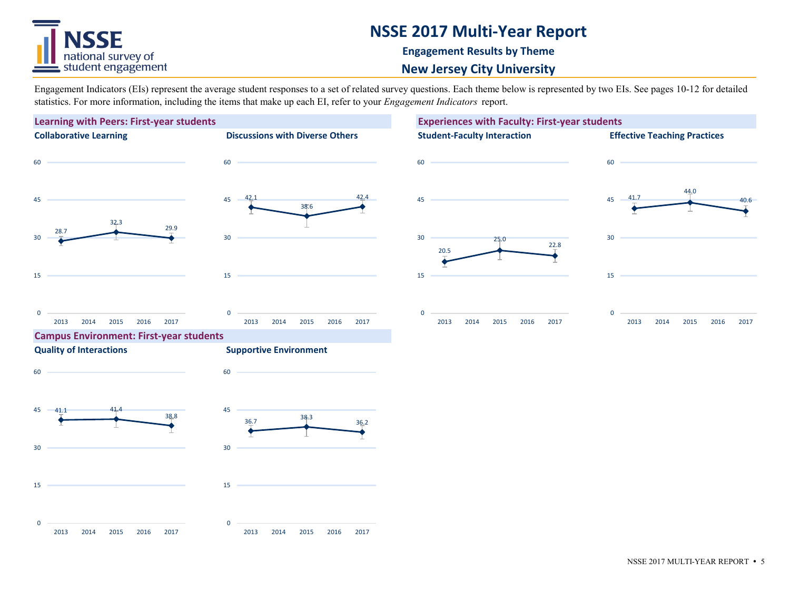# national survey of student engagement

### **NSSE 2017 Multi-Year Report**

**Engagement Results by Theme**

**New Jersey City University**

Engagement Indicators (EIs) represent the average student responses to a set of related survey questions. Each theme below is represented by two EIs. See pages 10-12 for detailed statistics. For more information, including the items that make up each EI, refer to your *Engagement Indicators* report.